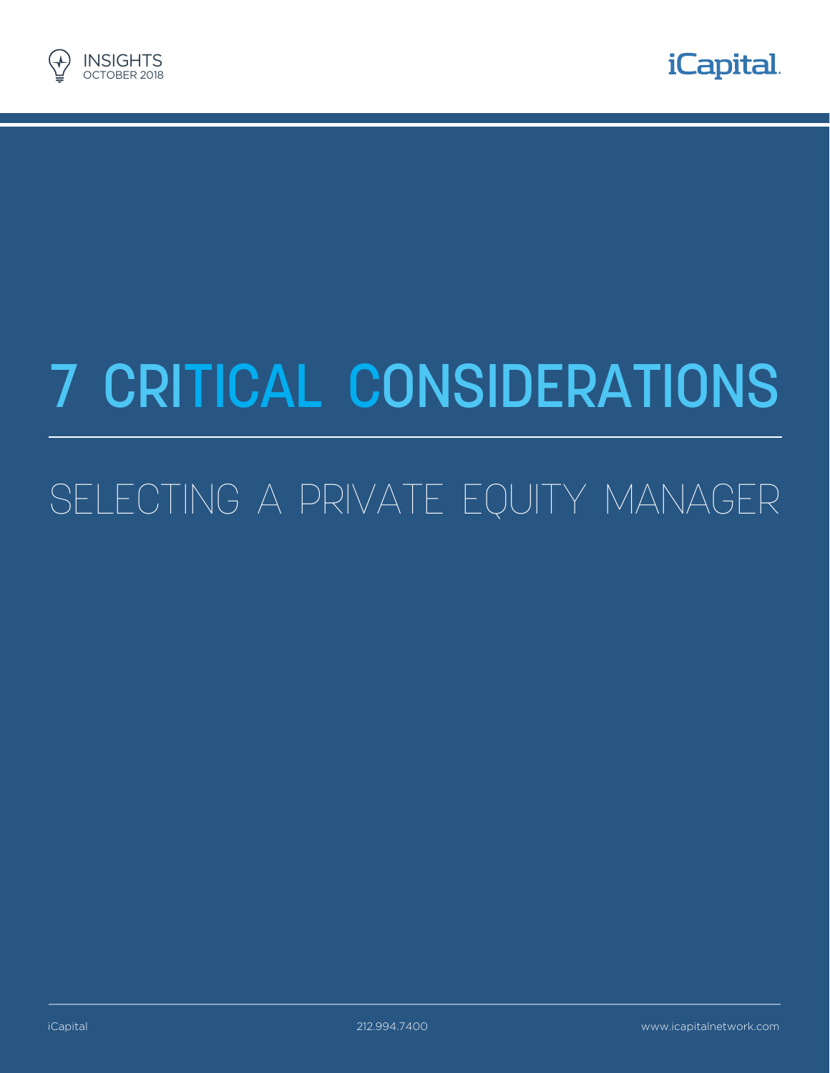



# 7 CRITICAL CONSIDERATIONS

## SELECTING A PRIVATE EQUITY MANAGER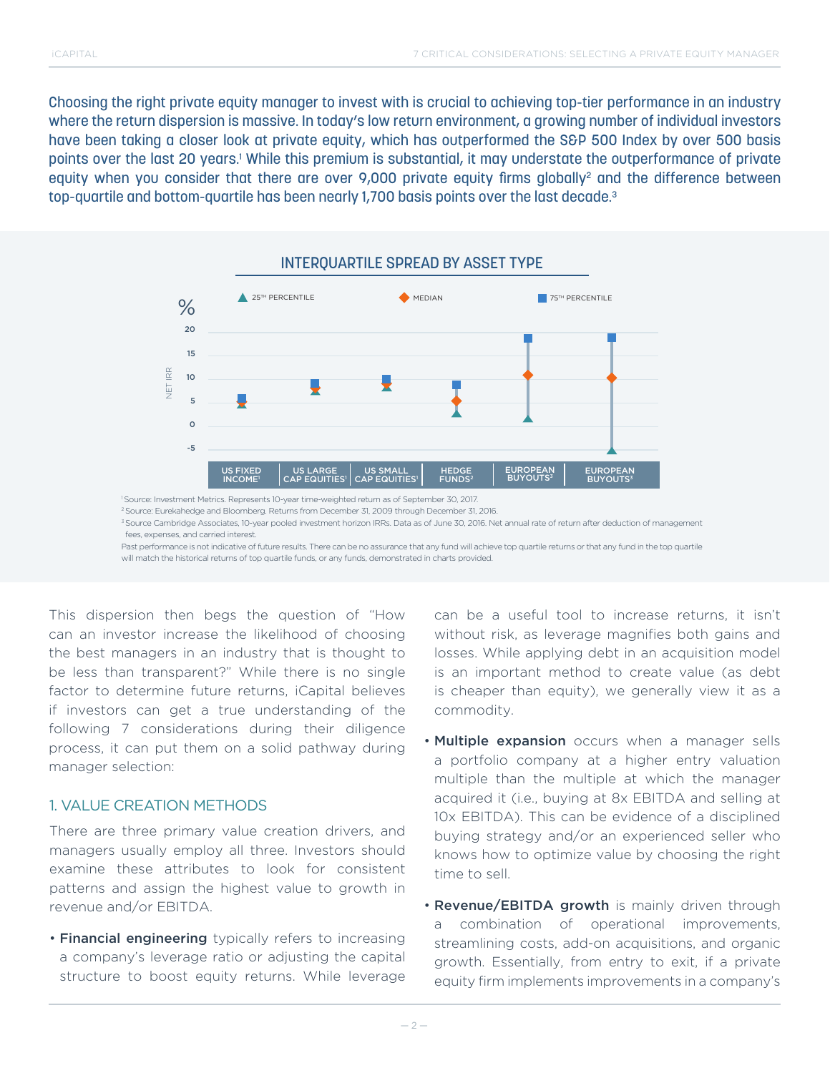Choosing the right private equity manager to invest with is crucial to achieving top-tier performance in an industry where the return dispersion is massive. In today's low return environment, a growing number of individual investors have been taking a closer look at private equity, which has outperformed the S&P 500 Index by over 500 basis points over the last 20 years.' While this premium is substantial, it may understate the outperformance of private equity when you consider that there are over 9,000 private equity firms globally<sup>2</sup> and the difference between top-quartile and bottom-quartile has been nearly 1,700 basis points over the last decade.<sup>3</sup>



This dispersion then begs the question of "How can an investor increase the likelihood of choosing the best managers in an industry that is thought to be less than transparent?" While there is no single factor to determine future returns, iCapital believes if investors can get a true understanding of the following 7 considerations during their diligence process, it can put them on a solid pathway during manager selection:

will match the historical returns of top quartile funds, or any funds, demonstrated in charts provided.

#### 1. VALUE CREATION METHODS

There are three primary value creation drivers, and managers usually employ all three. Investors should examine these attributes to look for consistent patterns and assign the highest value to growth in revenue and/or EBITDA.

**• Financial engineering** typically refers to increasing a company's leverage ratio or adjusting the capital structure to boost equity returns. While leverage

can be a useful tool to increase returns, it isn't without risk, as leverage magnifies both gains and losses. While applying debt in an acquisition model is an important method to create value (as debt is cheaper than equity), we generally view it as a commodity.

- Multiple expansion occurs when a manager sells a portfolio company at a higher entry valuation multiple than the multiple at which the manager acquired it (i.e., buying at 8x EBITDA and selling at 10x EBITDA). This can be evidence of a disciplined buying strategy and/or an experienced seller who knows how to optimize value by choosing the right time to sell.
- Revenue/EBITDA growth is mainly driven through a combination of operational improvements, streamlining costs, add-on acquisitions, and organic growth. Essentially, from entry to exit, if a private equity firm implements improvements in a company's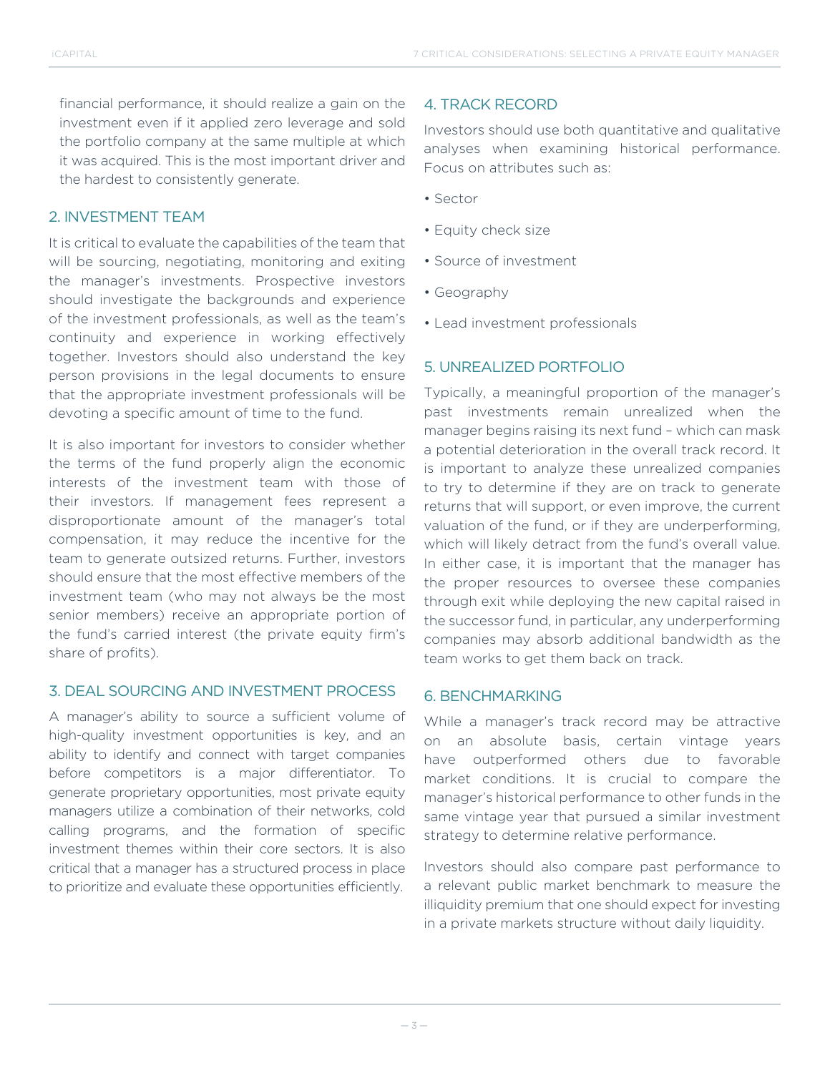financial performance, it should realize a gain on the investment even if it applied zero leverage and sold the portfolio company at the same multiple at which it was acquired. This is the most important driver and the hardest to consistently generate.

#### 2. INVESTMENT TEAM

It is critical to evaluate the capabilities of the team that will be sourcing, negotiating, monitoring and exiting the manager's investments. Prospective investors should investigate the backgrounds and experience of the investment professionals, as well as the team's continuity and experience in working effectively together. Investors should also understand the key person provisions in the legal documents to ensure that the appropriate investment professionals will be devoting a specific amount of time to the fund.

It is also important for investors to consider whether the terms of the fund properly align the economic interests of the investment team with those of their investors. If management fees represent a disproportionate amount of the manager's total compensation, it may reduce the incentive for the team to generate outsized returns. Further, investors should ensure that the most effective members of the investment team (who may not always be the most senior members) receive an appropriate portion of the fund's carried interest (the private equity firm's share of profits).

#### 3. DEAL SOURCING AND INVESTMENT PROCESS

A manager's ability to source a sufficient volume of high-quality investment opportunities is key, and an ability to identify and connect with target companies before competitors is a major differentiator. To generate proprietary opportunities, most private equity managers utilize a combination of their networks, cold calling programs, and the formation of specific investment themes within their core sectors. It is also critical that a manager has a structured process in place to prioritize and evaluate these opportunities efficiently.

### 4. TRACK RECORD

Investors should use both quantitative and qualitative analyses when examining historical performance. Focus on attributes such as:

- Sector
- Equity check size
- Source of investment
- Geography
- Lead investment professionals

#### 5. UNREALIZED PORTFOLIO

Typically, a meaningful proportion of the manager's past investments remain unrealized when the manager begins raising its next fund – which can mask a potential deterioration in the overall track record. It is important to analyze these unrealized companies to try to determine if they are on track to generate returns that will support, or even improve, the current valuation of the fund, or if they are underperforming, which will likely detract from the fund's overall value. In either case, it is important that the manager has the proper resources to oversee these companies through exit while deploying the new capital raised in the successor fund, in particular, any underperforming companies may absorb additional bandwidth as the team works to get them back on track.

#### 6. BENCHMARKING

While a manager's track record may be attractive on an absolute basis, certain vintage years have outperformed others due to favorable market conditions. It is crucial to compare the manager's historical performance to other funds in the same vintage year that pursued a similar investment strategy to determine relative performance.

Investors should also compare past performance to a relevant public market benchmark to measure the illiquidity premium that one should expect for investing in a private markets structure without daily liquidity.